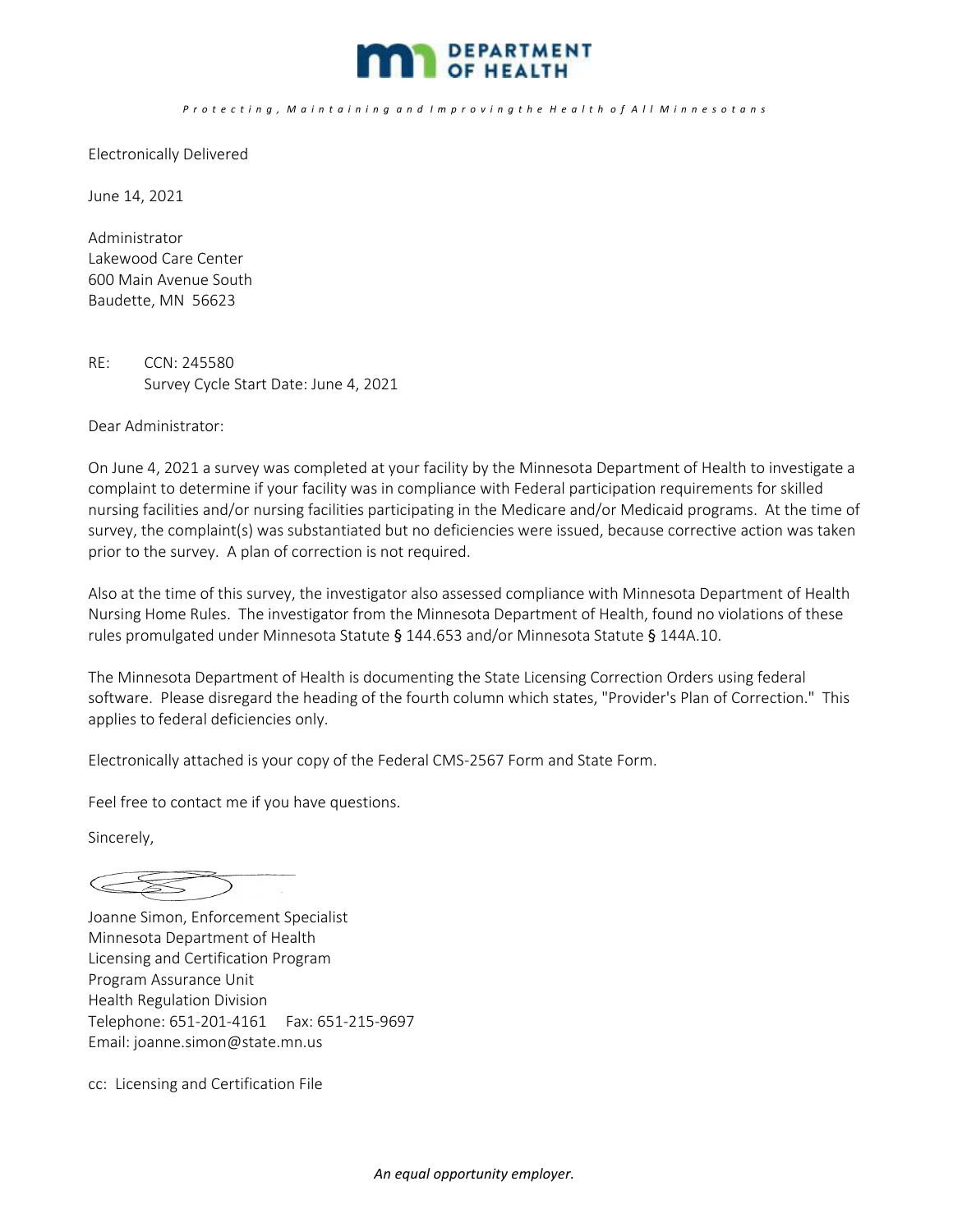

## Protecting, Maintaining and Improving the Health of All Minnesotans

Electronically Delivered

June 14, 2021

Administrator Lakewood Care Center 600 Main Avenue South Baudette, MN 56623

RE: CCN: 245580 Survey Cycle Start Date: June 4, 2021

Dear Administrator:

On June 4, 2021 a survey was completed at your facility by the Minnesota Department of Health to investigate a complaint to determine if your facility was in compliance with Federal participation requirements for skilled nursing facilities and/or nursing facilities participating in the Medicare and/or Medicaid programs. At the time of survey, the complaint(s) was substantiated but no deficiencies were issued, because corrective action was taken prior to the survey. A plan of correction is not required.

Also at the time of this survey, the investigator also assessed compliance with Minnesota Department of Health Nursing Home Rules. The investigator from the Minnesota Department of Health, found no violations of these rules promulgated under Minnesota Statute § 144.653 and/or Minnesota Statute § 144A.10.

The Minnesota Department of Health is documenting the State Licensing Correction Orders using federal software. Please disregard the heading of the fourth column which states, "Provider's Plan of Correction." This applies to federal deficiencies only.

Electronically attached is your copy of the Federal CMS‐2567 Form and State Form.

Feel free to contact me if you have questions.

Sincerely,

 $\begin{picture}(420,40) \put(0,0){\dashbox{0.5}(40,0){ }} \put(15,0){\circle{10}} \put(15,0){\circle{10}} \put(15,0){\circle{10}} \put(15,0){\circle{10}} \put(15,0){\circle{10}} \put(15,0){\circle{10}} \put(15,0){\circle{10}} \put(15,0){\circle{10}} \put(15,0){\circle{10}} \put(15,0){\circle{10}} \put(15,0){\circle{10}} \put(15,0){\circle{10}} \put(15,0){\circle{10}} \put(15$ 

Joanne Simon, Enforcement Specialist Minnesota Department of Health Licensing and Certification Program Program Assurance Unit Health Regulation Division Telephone: 651‐201‐4161 Fax: 651‐215‐9697 Email: joanne.simon@state.mn.us

cc: Licensing and Certification File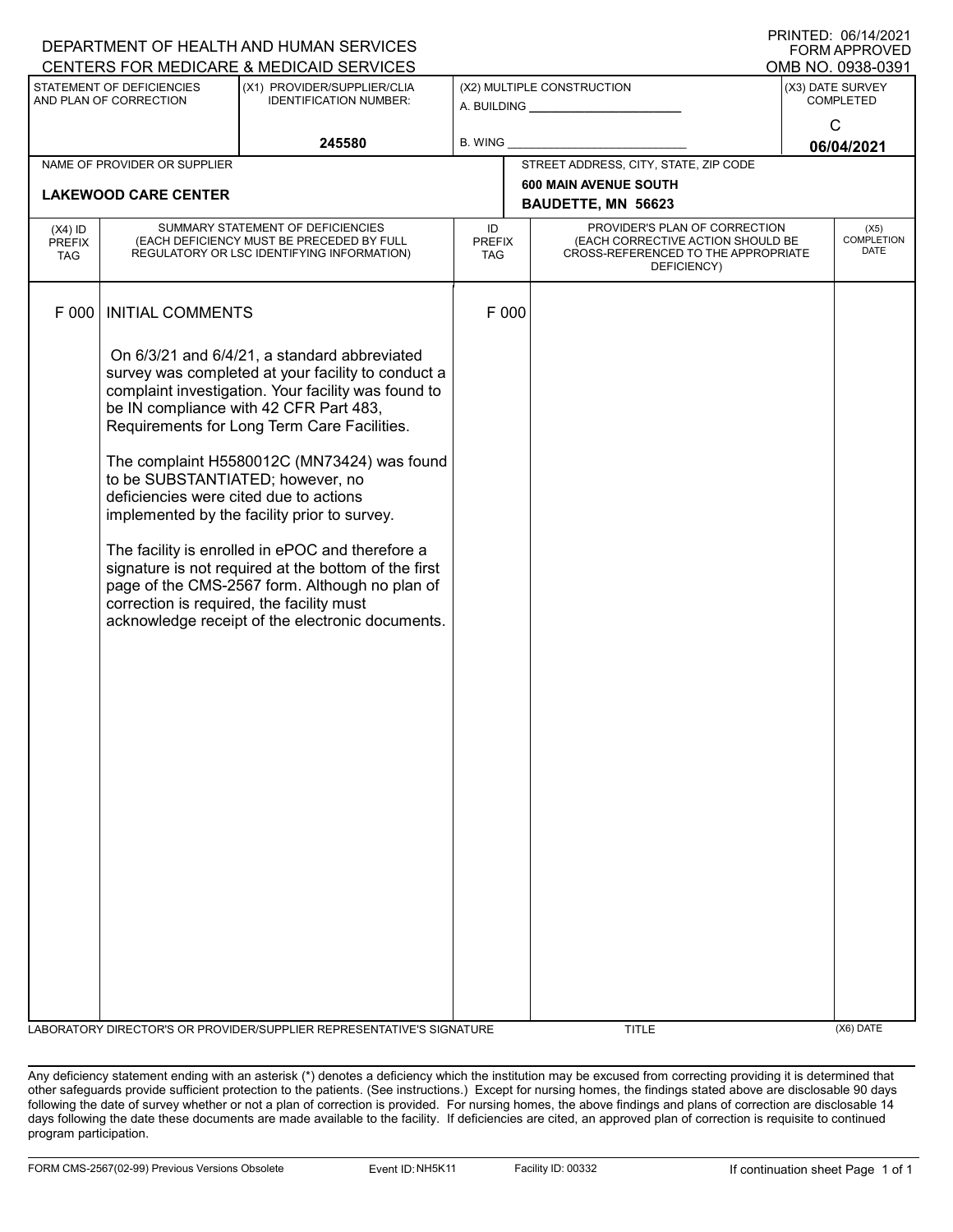|                                                                                                                                                                 |                                                                            | DEPARTMENT OF HEALTH AND HUMAN SERVICES                                                                                                                                                                                                                                                                                                                                                                                                                                                                                                                                                                          |                                                    |                                                                                                                          |  | FORM APPROVED                            |  |
|-----------------------------------------------------------------------------------------------------------------------------------------------------------------|----------------------------------------------------------------------------|------------------------------------------------------------------------------------------------------------------------------------------------------------------------------------------------------------------------------------------------------------------------------------------------------------------------------------------------------------------------------------------------------------------------------------------------------------------------------------------------------------------------------------------------------------------------------------------------------------------|----------------------------------------------------|--------------------------------------------------------------------------------------------------------------------------|--|------------------------------------------|--|
| CENTERS FOR MEDICARE & MEDICAID SERVICES<br>STATEMENT OF DEFICIENCIES<br>(X1) PROVIDER/SUPPLIER/CLIA<br>AND PLAN OF CORRECTION<br><b>IDENTIFICATION NUMBER:</b> |                                                                            | (X2) MULTIPLE CONSTRUCTION                                                                                                                                                                                                                                                                                                                                                                                                                                                                                                                                                                                       |                                                    | OMB NO. 0938-0391<br>(X3) DATE SURVEY<br><b>COMPLETED</b>                                                                |  |                                          |  |
|                                                                                                                                                                 |                                                                            | 245580                                                                                                                                                                                                                                                                                                                                                                                                                                                                                                                                                                                                           | B. WING                                            |                                                                                                                          |  | $\mathsf{C}$<br>06/04/2021               |  |
|                                                                                                                                                                 | NAME OF PROVIDER OR SUPPLIER                                               |                                                                                                                                                                                                                                                                                                                                                                                                                                                                                                                                                                                                                  |                                                    | STREET ADDRESS, CITY, STATE, ZIP CODE                                                                                    |  |                                          |  |
| <b>LAKEWOOD CARE CENTER</b>                                                                                                                                     |                                                                            |                                                                                                                                                                                                                                                                                                                                                                                                                                                                                                                                                                                                                  | <b>600 MAIN AVENUE SOUTH</b><br>BAUDETTE, MN 56623 |                                                                                                                          |  |                                          |  |
| $(X4)$ ID<br><b>PREFIX</b><br><b>TAG</b>                                                                                                                        |                                                                            | SUMMARY STATEMENT OF DEFICIENCIES<br>(EACH DEFICIENCY MUST BE PRECEDED BY FULL<br>REGULATORY OR LSC IDENTIFYING INFORMATION)                                                                                                                                                                                                                                                                                                                                                                                                                                                                                     | ID<br><b>PREFIX</b><br><b>TAG</b>                  | PROVIDER'S PLAN OF CORRECTION<br>(EACH CORRECTIVE ACTION SHOULD BE<br>CROSS-REFERENCED TO THE APPROPRIATE<br>DEFICIENCY) |  | (X5)<br><b>COMPLETION</b><br><b>DATE</b> |  |
| F 000                                                                                                                                                           | <b>INITIAL COMMENTS</b>                                                    |                                                                                                                                                                                                                                                                                                                                                                                                                                                                                                                                                                                                                  | F 000                                              |                                                                                                                          |  |                                          |  |
|                                                                                                                                                                 | to be SUBSTANTIATED; however, no<br>deficiencies were cited due to actions | On 6/3/21 and 6/4/21, a standard abbreviated<br>survey was completed at your facility to conduct a<br>complaint investigation. Your facility was found to<br>be IN compliance with 42 CFR Part 483,<br>Requirements for Long Term Care Facilities.<br>The complaint H5580012C (MN73424) was found<br>implemented by the facility prior to survey.<br>The facility is enrolled in ePOC and therefore a<br>signature is not required at the bottom of the first<br>page of the CMS-2567 form. Although no plan of<br>correction is required, the facility must<br>acknowledge receipt of the electronic documents. |                                                    |                                                                                                                          |  |                                          |  |
|                                                                                                                                                                 |                                                                            | LABORATORY DIRECTOR'S OR PROVIDER/SUPPLIER REPRESENTATIVE'S SIGNATURE                                                                                                                                                                                                                                                                                                                                                                                                                                                                                                                                            |                                                    | <b>TITLE</b>                                                                                                             |  | $(X6)$ DATE                              |  |

DEPARTMENT OF HEALTH AND HUMAN SERVICES

PRINTED: 06/14/2021

Any deficiency statement ending with an asterisk (\*) denotes a deficiency which the institution may be excused from correcting providing it is determined that other safeguards provide sufficient protection to the patients. (See instructions.) Except for nursing homes, the findings stated above are disclosable 90 days following the date of survey whether or not a plan of correction is provided. For nursing homes, the above findings and plans of correction are disclosable 14 days following the date these documents are made available to the facility. If deficiencies are cited, an approved plan of correction is requisite to continued program participation.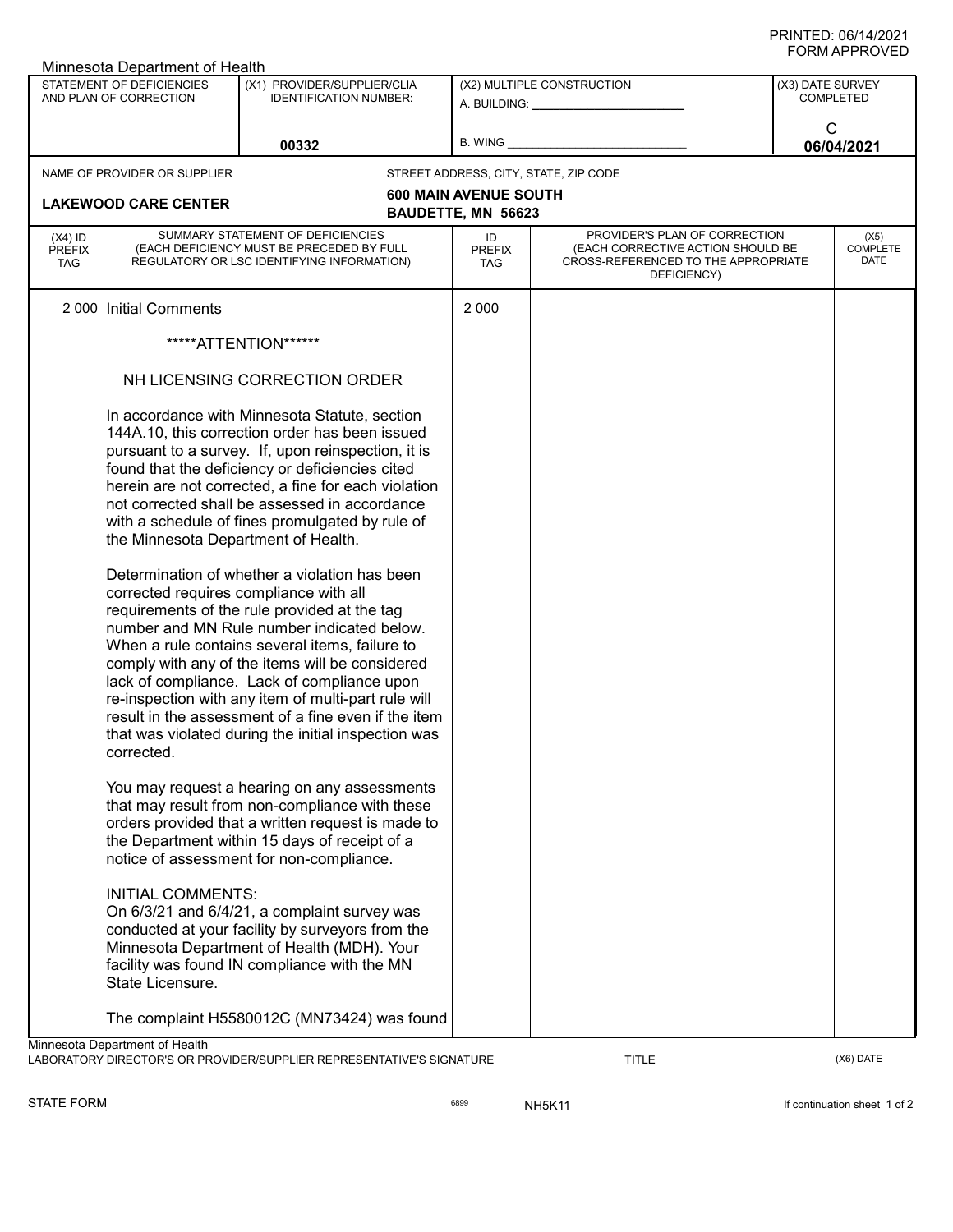| Minnesota Department of Health                      |                                                                                             |                                                                                                                                                                                                                                                                                                                                                                                                                                                                                                                                                                                                                                                                                                                                                                                                                                             |                                                         |                                                                                                                          |                                      |                                 |  |
|-----------------------------------------------------|---------------------------------------------------------------------------------------------|---------------------------------------------------------------------------------------------------------------------------------------------------------------------------------------------------------------------------------------------------------------------------------------------------------------------------------------------------------------------------------------------------------------------------------------------------------------------------------------------------------------------------------------------------------------------------------------------------------------------------------------------------------------------------------------------------------------------------------------------------------------------------------------------------------------------------------------------|---------------------------------------------------------|--------------------------------------------------------------------------------------------------------------------------|--------------------------------------|---------------------------------|--|
| STATEMENT OF DEFICIENCIES<br>AND PLAN OF CORRECTION |                                                                                             | (X1) PROVIDER/SUPPLIER/CLIA<br><b>IDENTIFICATION NUMBER:</b>                                                                                                                                                                                                                                                                                                                                                                                                                                                                                                                                                                                                                                                                                                                                                                                | (X2) MULTIPLE CONSTRUCTION<br>A. BUILDING: A. BUILDING: |                                                                                                                          | (X3) DATE SURVEY<br><b>COMPLETED</b> |                                 |  |
|                                                     |                                                                                             | 00332                                                                                                                                                                                                                                                                                                                                                                                                                                                                                                                                                                                                                                                                                                                                                                                                                                       | B. WING                                                 |                                                                                                                          | C                                    | 06/04/2021                      |  |
|                                                     | NAME OF PROVIDER OR SUPPLIER                                                                |                                                                                                                                                                                                                                                                                                                                                                                                                                                                                                                                                                                                                                                                                                                                                                                                                                             |                                                         | STREET ADDRESS, CITY, STATE, ZIP CODE                                                                                    |                                      |                                 |  |
|                                                     | <b>LAKEWOOD CARE CENTER</b>                                                                 |                                                                                                                                                                                                                                                                                                                                                                                                                                                                                                                                                                                                                                                                                                                                                                                                                                             | <b>600 MAIN AVENUE SOUTH</b><br>BAUDETTE, MN 56623      |                                                                                                                          |                                      |                                 |  |
| $(X4)$ ID<br><b>PREFIX</b><br><b>TAG</b>            |                                                                                             | SUMMARY STATEMENT OF DEFICIENCIES<br>(EACH DEFICIENCY MUST BE PRECEDED BY FULL<br>REGULATORY OR LSC IDENTIFYING INFORMATION)                                                                                                                                                                                                                                                                                                                                                                                                                                                                                                                                                                                                                                                                                                                | ID<br><b>PREFIX</b><br><b>TAG</b>                       | PROVIDER'S PLAN OF CORRECTION<br>(EACH CORRECTIVE ACTION SHOULD BE<br>CROSS-REFERENCED TO THE APPROPRIATE<br>DEFICIENCY) |                                      | (X5)<br><b>COMPLETE</b><br>DATE |  |
| 2 0 0 0                                             | <b>Initial Comments</b>                                                                     |                                                                                                                                                                                                                                                                                                                                                                                                                                                                                                                                                                                                                                                                                                                                                                                                                                             | 2 0 0 0                                                 |                                                                                                                          |                                      |                                 |  |
|                                                     |                                                                                             | *****ATTENTION******                                                                                                                                                                                                                                                                                                                                                                                                                                                                                                                                                                                                                                                                                                                                                                                                                        |                                                         |                                                                                                                          |                                      |                                 |  |
|                                                     | NH LICENSING CORRECTION ORDER                                                               |                                                                                                                                                                                                                                                                                                                                                                                                                                                                                                                                                                                                                                                                                                                                                                                                                                             |                                                         |                                                                                                                          |                                      |                                 |  |
|                                                     | the Minnesota Department of Health.<br>corrected requires compliance with all<br>corrected. | In accordance with Minnesota Statute, section<br>144A.10, this correction order has been issued<br>pursuant to a survey. If, upon reinspection, it is<br>found that the deficiency or deficiencies cited<br>herein are not corrected, a fine for each violation<br>not corrected shall be assessed in accordance<br>with a schedule of fines promulgated by rule of<br>Determination of whether a violation has been<br>requirements of the rule provided at the tag<br>number and MN Rule number indicated below.<br>When a rule contains several items, failure to<br>comply with any of the items will be considered<br>lack of compliance. Lack of compliance upon<br>re-inspection with any item of multi-part rule will<br>result in the assessment of a fine even if the item<br>that was violated during the initial inspection was |                                                         |                                                                                                                          |                                      |                                 |  |
|                                                     |                                                                                             | You may request a hearing on any assessments<br>that may result from non-compliance with these<br>orders provided that a written request is made to<br>the Department within 15 days of receipt of a<br>notice of assessment for non-compliance.                                                                                                                                                                                                                                                                                                                                                                                                                                                                                                                                                                                            |                                                         |                                                                                                                          |                                      |                                 |  |
|                                                     | <b>INITIAL COMMENTS:</b><br>State Licensure.                                                | On 6/3/21 and 6/4/21, a complaint survey was<br>conducted at your facility by surveyors from the<br>Minnesota Department of Health (MDH). Your<br>facility was found IN compliance with the MN                                                                                                                                                                                                                                                                                                                                                                                                                                                                                                                                                                                                                                              |                                                         |                                                                                                                          |                                      |                                 |  |
|                                                     |                                                                                             | The complaint H5580012C (MN73424) was found                                                                                                                                                                                                                                                                                                                                                                                                                                                                                                                                                                                                                                                                                                                                                                                                 |                                                         |                                                                                                                          |                                      |                                 |  |
|                                                     | Minnesota Department of Health                                                              |                                                                                                                                                                                                                                                                                                                                                                                                                                                                                                                                                                                                                                                                                                                                                                                                                                             |                                                         |                                                                                                                          |                                      |                                 |  |

LABORATORY DIRECTOR'S OR PROVIDER/SUPPLIER REPRESENTATIVE'S SIGNATURE TITLE TITLE THE TITLE (X6) DATE